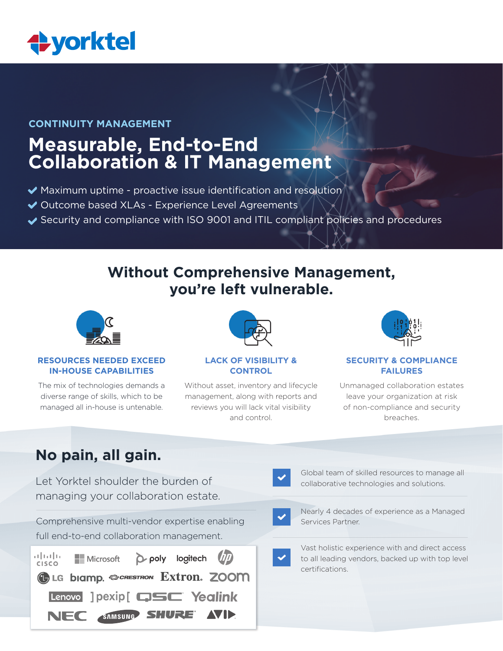

### **CONTINUITY MANAGEMENT**

# **Measurable, End-to-End Collaboration & IT Management**

- Maximum uptime proactive issue identification and resolution
- ◆ Outcome based XLAs Experience Level Agreements
- ◆ Security and compliance with ISO 9001 and ITIL compliant policies and procedures

# **Without Comprehensive Management, you're left vulnerable.**



#### **RESOURCES NEEDED EXCEED IN-HOUSE CAPABILITIES**

The mix of technologies demands a diverse range of skills, which to be managed all in-house is untenable.



### **LACK OF VISIBILITY & CONTROL**

Without asset, inventory and lifecycle management, along with reports and reviews you will lack vital visibility and control.



### **SECURITY & COMPLIANCE FAILURES**

Unmanaged collaboration estates leave your organization at risk of non-compliance and security breaches.

# **No pain, all gain.**

Let Yorktel shoulder the burden of managing your collaboration estate.

Comprehensive multi-vendor expertise enabling full end-to-end collaboration management.

| التالينان<br><b>CISCO</b> | Microsoft D poly logitech (17)            |  |  |
|---------------------------|-------------------------------------------|--|--|
|                           | <b>GLG biamp. @CRESTRON. EXtron. ZOOM</b> |  |  |
|                           | Lenovo I pexip [ CJSC Yealink             |  |  |
|                           | NEC SAMSUNG SHURE AVID                    |  |  |

Global team of skilled resources to manage all collaborative technologies and solutions.



Nearly 4 decades of experience as a Managed Services Partner.

Vast holistic experience with and direct access to all leading vendors, backed up with top level certifications.